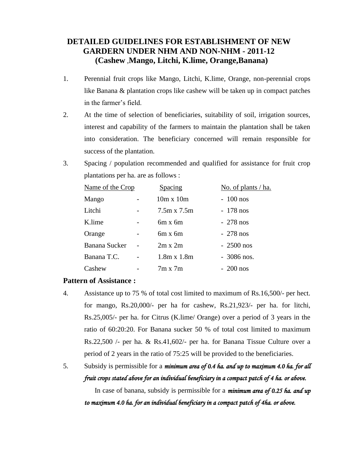# **DETAILED GUIDELINES FOR ESTABLISHMENT OF NEW GARDERN UNDER NHM AND NON-NHM - 2011-12 (Cashew** ,**Mango, Litchi, K.lime, Orange,Banana)**

- 1. Perennial fruit crops like Mango, Litchi, K.lime, Orange, non-perennial crops like Banana & plantation crops like cashew will be taken up in compact patches in the farmer's field.
- 2. At the time of selection of beneficiaries, suitability of soil, irrigation sources, interest and capability of the farmers to maintain the plantation shall be taken into consideration. The beneficiary concerned will remain responsible for success of the plantation.
- 3. Spacing / population recommended and qualified for assistance for fruit crop plantations per ha. are as follows :

| Name of the Crop     |  | Spacing            | No. of plants / ha. |
|----------------------|--|--------------------|---------------------|
| Mango                |  | $10m \times 10m$   | $-100$ nos          |
| Litchi               |  | $7.5m \times 7.5m$ | $-178$ nos          |
| K.lime               |  | $6m \times 6m$     | $-278$ nos          |
| Orange               |  | $6m \times 6m$     | $-278$ nos          |
| <b>Banana Sucker</b> |  | $2m \times 2m$     | $-2500$ nos         |
| Banana T.C.          |  | $1.8m \times 1.8m$ | $-3086$ nos.        |
| Cashew               |  | $7m \times 7m$     | $-200$ nos          |

#### **Pattern of Assistance :**

- 4. Assistance up to 75 % of total cost limited to maximum of Rs.16,500/- per hect. for mango, Rs.20,000/- per ha for cashew, Rs.21,923/- per ha. for litchi, Rs.25,005/- per ha. for Citrus (K.lime/ Orange) over a period of 3 years in the ratio of 60:20:20. For Banana sucker 50 % of total cost limited to maximum Rs.22,500 /- per ha. & Rs.41,602/- per ha. for Banana Tissue Culture over a period of 2 years in the ratio of 75:25 will be provided to the beneficiaries.
- 5. Subsidy is permissible for a *minimum area of 0.4 ha. and up to maximum 4.0 ha. for all fruit crops stated above for an individual beneficiary in a compact patch of 4 ha. or above.*

In case of banana, subsidy is permissible for a *minimum area of 0.25 ha. and up to maximum 4.0 ha. for an individual beneficiary in a compact patch of 4ha. or above.*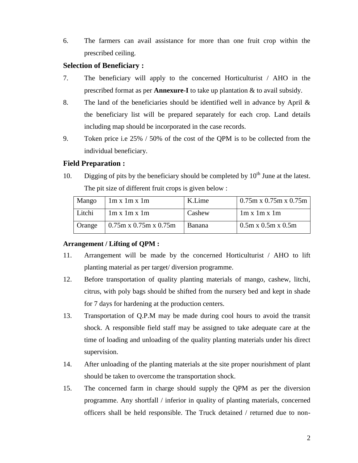6. The farmers can avail assistance for more than one fruit crop within the prescribed ceiling.

### **Selection of Beneficiary :**

- 7. The beneficiary will apply to the concerned Horticulturist / AHO in the prescribed format as per **Annexure-I** to take up plantation & to avail subsidy.
- 8. The land of the beneficiaries should be identified well in advance by April & the beneficiary list will be prepared separately for each crop. Land details including map should be incorporated in the case records.
- 9. Token price i.e 25% / 50% of the cost of the QPM is to be collected from the individual beneficiary.

#### **Field Preparation :**

10. Digging of pits by the beneficiary should be completed by  $10<sup>th</sup>$  June at the latest. The pit size of different fruit crops is given below :

| Mango  | $\ln x \ln x \ln$        | K.Lime | $\frac{10.75 \text{m} \times 0.75 \text{m} \times 0.75 \text{m}}{0.75 \text{m}}$ |
|--------|--------------------------|--------|----------------------------------------------------------------------------------|
| Litchi | $1m \times 1m \times 1m$ | Cashew | $1m \times 1m \times 1m$                                                         |
| Orange | $0.75$ m x 0.75m x 0.75m | Banana | $\frac{1}{2}$ 0.5m x 0.5m                                                        |

#### **Arrangement / Lifting of QPM :**

- 11. Arrangement will be made by the concerned Horticulturist / AHO to lift planting material as per target/ diversion programme.
- 12. Before transportation of quality planting materials of mango, cashew, litchi, citrus, with poly bags should be shifted from the nursery bed and kept in shade for 7 days for hardening at the production centers.
- 13. Transportation of Q.P.M may be made during cool hours to avoid the transit shock. A responsible field staff may be assigned to take adequate care at the time of loading and unloading of the quality planting materials under his direct supervision.
- 14. After unloading of the planting materials at the site proper nourishment of plant should be taken to overcome the transportation shock.
- 15. The concerned farm in charge should supply the QPM as per the diversion programme. Any shortfall / inferior in quality of planting materials, concerned officers shall be held responsible. The Truck detained / returned due to non-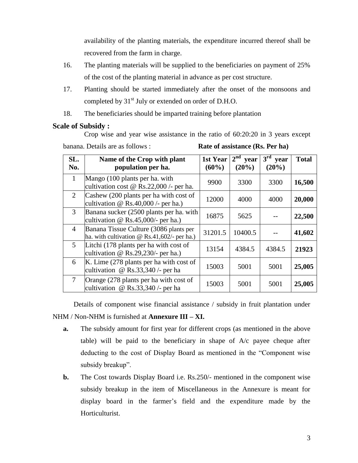availability of the planting materials, the expenditure incurred thereof shall be recovered from the farm in charge.

- 16. The planting materials will be supplied to the beneficiaries on payment of 25% of the cost of the planting material in advance as per cost structure.
- 17. Planting should be started immediately after the onset of the monsoons and completed by 31<sup>st</sup> July or extended on order of D.H.O.
- 18. The beneficiaries should be imparted training before plantation

#### **Scale of Subsidy :**

Crop wise and year wise assistance in the ratio of 60:20:20 in 3 years except

banana. Details are as follows : **Rate of assistance (Rs. Per ha)**

| SL.<br>No.     | Name of the Crop with plant<br>population per ha.                                            | 1st Year<br>(60%) | $2nd$ year<br>$(20\%)$ | 3 <sup>rd</sup><br>year<br>$(20\%)$ | <b>Total</b> |
|----------------|----------------------------------------------------------------------------------------------|-------------------|------------------------|-------------------------------------|--------------|
| $\mathbf{1}$   | Mango (100 plants per ha. with<br>cultivation cost $\omega$ Rs.22,000 /- per ha.             | 9900              | 3300                   | 3300                                | 16,500       |
| 2              | Cashew (200 plants per ha with cost of<br>cultivation $\omega$ Rs.40,000 /- per ha.)         | 12000             | 4000                   | 4000                                | 20,000       |
| $\mathfrak{Z}$ | Banana sucker (2500 plants per ha. with<br>cultivation $\omega$ Rs.45,000/- per ha.)         | 16875             | 5625                   |                                     | 22,500       |
| $\overline{4}$ | Banana Tissue Culture (3086 plants per<br>ha. with cultivation $\omega$ Rs.41,602/- per ha.) | 31201.5           | 10400.5                |                                     | 41,602       |
| 5 <sup>5</sup> | Litchi (178 plants per ha with cost of<br>cultivation $\omega$ Rs.29,230/- per ha.)          | 13154             | 4384.5                 | 4384.5                              | 21923        |
| 6              | K. Lime (278 plants per ha with cost of<br>cultivation @ $\text{Rs.33,340}$ /- per ha        | 15003             | 5001                   | 5001                                | 25,005       |
| $\overline{7}$ | Orange (278 plants per ha with cost of<br>cultivation @ $\text{Rs.33,340}$ /- per ha         | 15003             | 5001                   | 5001                                | 25,005       |

Details of component wise financial assistance / subsidy in fruit plantation under NHM / Non-NHM is furnished at **Annexure III – XI.**

- **a.** The subsidy amount for first year for different crops (as mentioned in the above table) will be paid to the beneficiary in shape of A/c payee cheque after deducting to the cost of Display Board as mentioned in the "Component wise subsidy breakup".
- **b.** The Cost towards Display Board i.e. Rs.250/- mentioned in the component wise subsidy breakup in the item of Miscellaneous in the Annexure is meant for display board in the farmer's field and the expenditure made by the Horticulturist.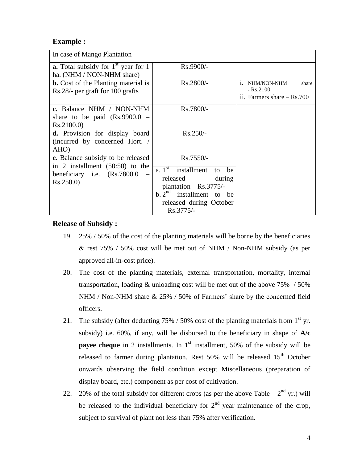### **Example :**

| In case of Mango Plantation                                                                                                |                                                                                                                                                                                                  |                                                                                    |
|----------------------------------------------------------------------------------------------------------------------------|--------------------------------------------------------------------------------------------------------------------------------------------------------------------------------------------------|------------------------------------------------------------------------------------|
| <b>a.</b> Total subsidy for $1st$ year for 1<br>ha. (NHM / NON-NHM share)                                                  | Rs.9900/-                                                                                                                                                                                        |                                                                                    |
| <b>b.</b> Cost of the Planting material is<br>Rs.28/- per graft for 100 grafts                                             | Rs.2800/-                                                                                                                                                                                        | NHM/NON-NHM<br>share<br>$\mathbf{1}$<br>$-Rs.2100$<br>ii. Farmers share $-$ Rs.700 |
| c. Balance NHM / NON-NHM<br>share to be paid $(Rs.9900.0 -$<br>Rs.2100.0)                                                  | Rs.7800/-                                                                                                                                                                                        |                                                                                    |
| d. Provision for display board<br>(incurred by concerned Hort. /<br>AHO)                                                   | $Rs.250/-$                                                                                                                                                                                       |                                                                                    |
| <b>e.</b> Balance subsidy to be released<br>in 2 installment $(50:50)$ to the<br>beneficiary i.e. (Rs.7800.0)<br>Rs.250.0) | Rs.7550/-<br>$\overline{a}$ . 1 <sup>st</sup> installment<br>be<br>to<br>released<br>during<br>plantation $-$ Rs.3775/-<br>b. $2nd$ installment to be<br>released during October<br>$-Rs.3775/-$ |                                                                                    |

#### **Release of Subsidy :**

- 19. 25% / 50% of the cost of the planting materials will be borne by the beneficiaries & rest 75% / 50% cost will be met out of NHM / Non-NHM subsidy (as per approved all-in-cost price).
- 20. The cost of the planting materials, external transportation, mortality, internal transportation, loading & unloading cost will be met out of the above 75% / 50% NHM / Non-NHM share & 25% / 50% of Farmers' share by the concerned field officers.
- 21. The subsidy (after deducting  $75\%$  / 50% cost of the planting materials from 1<sup>st</sup> yr. subsidy) i.e. 60%, if any, will be disbursed to the beneficiary in shape of **A/c payee cheque** in 2 installments. In  $1<sup>st</sup>$  installment, 50% of the subsidy will be released to farmer during plantation. Rest  $50\%$  will be released  $15<sup>th</sup>$  October onwards observing the field condition except Miscellaneous (preparation of display board, etc.) component as per cost of cultivation.
- 22. 20% of the total subsidy for different crops (as per the above Table  $-2<sup>nd</sup>$  yr.) will be released to the individual beneficiary for  $2<sup>nd</sup>$  year maintenance of the crop, subject to survival of plant not less than 75% after verification.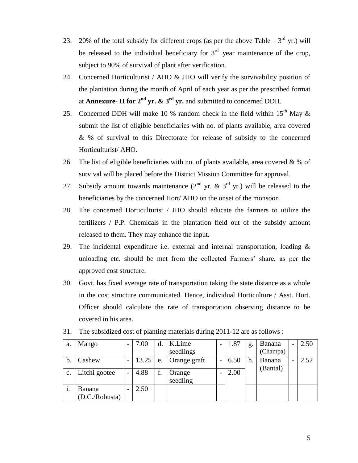- 23. 20% of the total subsidy for different crops (as per the above Table  $-3<sup>rd</sup>$  yr.) will be released to the individual beneficiary for  $3<sup>rd</sup>$  year maintenance of the crop, subject to 90% of survival of plant after verification.
- 24. Concerned Horticulturist / AHO & JHO will verify the survivability position of the plantation during the month of April of each year as per the prescribed format at **Annexure- II for 2nd yr. & 3rd yr.** and submitted to concerned DDH.
- 25. Concerned DDH will make 10 % random check in the field within  $15<sup>th</sup>$  May & submit the list of eligible beneficiaries with no. of plants available, area covered & % of survival to this Directorate for release of subsidy to the concerned Horticulturist/ AHO.
- 26. The list of eligible beneficiaries with no. of plants available, area covered  $\& \%$  of survival will be placed before the District Mission Committee for approval.
- 27. Subsidy amount towards maintenance  $(2^{nd}$  yr. & 3<sup>rd</sup> yr.) will be released to the beneficiaries by the concerned Hort/ AHO on the onset of the monsoon.
- 28. The concerned Horticulturist / JHO should educate the farmers to utilize the fertilizers / P.P. Chemicals in the plantation field out of the subsidy amount released to them. They may enhance the input.
- 29. The incidental expenditure i.e. external and internal transportation, loading  $\&$ unloading etc. should be met from the collected Farmers' share, as per the approved cost structure.
- 30. Govt. has fixed average rate of transportation taking the state distance as a whole in the cost structure communicated. Hence, individual Horticulture / Asst. Hort. Officer should calculate the rate of transportation observing distance to be covered in his area.

| a. | Mango                    |   | 7.00  | d  | K.Lime<br>seedlings | 1.87 | g. | Banana<br>(Champa) | 2.50 |
|----|--------------------------|---|-------|----|---------------------|------|----|--------------------|------|
| b. | Cashew                   | - | 13.25 | e. | Orange graft        | 6.50 | h. | Banana             | 2.52 |
| c. | Litchi gootee            |   | 4.88  | f. | Orange<br>seedling  | 2.00 |    | (Bantal)           |      |
|    | Banana<br>(D.C./Robusta) |   | 2.50  |    |                     |      |    |                    |      |

31. The subsidized cost of planting materials during 2011-12 are as follows :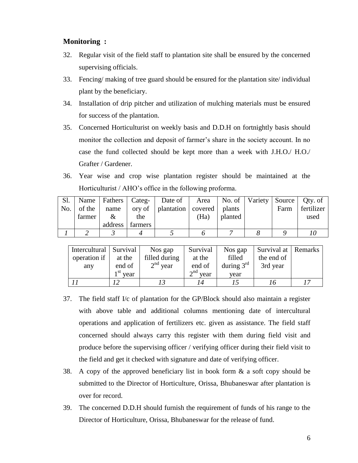#### **Monitoring :**

- 32. Regular visit of the field staff to plantation site shall be ensured by the concerned supervising officials.
- 33. Fencing/ making of tree guard should be ensured for the plantation site/ individual plant by the beneficiary.
- 34. Installation of drip pitcher and utilization of mulching materials must be ensured for success of the plantation.
- 35. Concerned Horticulturist on weekly basis and D.D.H on fortnightly basis should monitor the collection and deposit of farmer's share in the society account. In no case the fund collected should be kept more than a week with J.H.O./ H.O./ Grafter / Gardener.
- 36. Year wise and crop wise plantation register should be maintained at the Horticulturist / AHO's office in the following proforma.

| Sl. |        |         |         | Name   Fathers   Categ-   Date of   Area   No. of   Variety   Source   Qty. of |      |         |      |            |
|-----|--------|---------|---------|--------------------------------------------------------------------------------|------|---------|------|------------|
| No. | of the | name    |         | ory of   plantation   covered   plants                                         |      |         | Farm | fertilizer |
|     | farmer | &       | the     |                                                                                | (Ha) | planted |      | used       |
|     |        | address | farmers |                                                                                |      |         |      |            |
|     |        |         |         |                                                                                |      |         |      |            |

| Intercultural   Survival |            | Nos gap       | Survival                  | Nos gap      | Survival at Remarks |    |
|--------------------------|------------|---------------|---------------------------|--------------|---------------------|----|
| operation if             | at the     | filled during | at the                    | filled       | the end of          |    |
| any                      | end of     | $2nd$ year    | end of                    | during $3rd$ | 3rd year            |    |
|                          | $1st$ year |               | $\gamma^{\text{nd}}$ year | vear         |                     |    |
|                          |            |               |                           |              | 16                  | 17 |

- 37. The field staff I/c of plantation for the GP/Block should also maintain a register with above table and additional columns mentioning date of intercultural operations and application of fertilizers etc. given as assistance. The field staff concerned should always carry this register with them during field visit and produce before the supervising officer / verifying officer during their field visit to the field and get it checked with signature and date of verifying officer.
- 38. A copy of the approved beneficiary list in book form & a soft copy should be submitted to the Director of Horticulture, Orissa, Bhubaneswar after plantation is over for record.
- 39. The concerned D.D.H should furnish the requirement of funds of his range to the Director of Horticulture, Orissa, Bhubaneswar for the release of fund.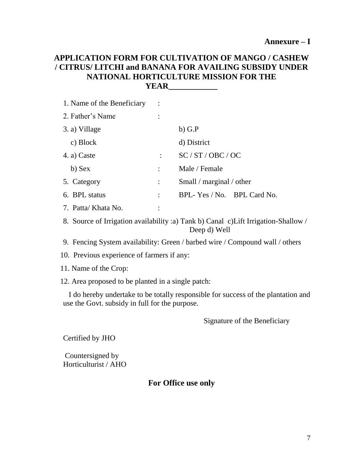## **APPLICATION FORM FOR CULTIVATION OF MANGO / CASHEW / CITRUS/ LITCHI and BANANA FOR AVAILING SUBSIDY UNDER NATIONAL HORTICULTURE MISSION FOR THE YEAR\_\_\_\_\_\_\_\_\_\_\_\_**

| 1. Name of the Beneficiary |                |                            |
|----------------------------|----------------|----------------------------|
| 2. Father's Name           |                |                            |
| 3. a) Village              |                | $b)$ G.P                   |
| c) Block                   |                | d) District                |
| 4. a) Caste                | $\ddot{\cdot}$ | SC / ST / OBC / OC         |
| b) Sex                     |                | Male / Female              |
| 5. Category                | $\ddot{\cdot}$ | Small / marginal / other   |
| 6. BPL status              |                | BPL-Yes / No. BPL Card No. |
| 7. Patta/ Khata No.        |                |                            |

8. Source of Irrigation availability :a) Tank b) Canal c)Lift Irrigation-Shallow / Deep d) Well

9. Fencing System availability: Green / barbed wire / Compound wall / others

10. Previous experience of farmers if any:

11. Name of the Crop:

12. Area proposed to be planted in a single patch:

 I do hereby undertake to be totally responsible for success of the plantation and use the Govt. subsidy in full for the purpose.

Signature of the Beneficiary

Certified by JHO

Countersigned by Horticulturist / AHO

# **For Office use only**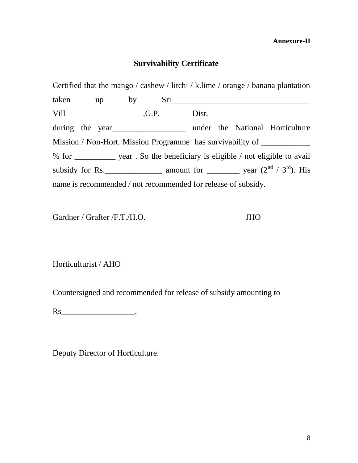**Annexure-II**

# **Survivability Certificate**

Certified that the mango / cashew / litchi / k.lime / orange / banana plantation taken up by Sri\_\_\_\_\_\_\_\_\_\_\_\_\_\_\_\_\_\_\_\_\_\_\_\_\_\_\_\_\_\_\_\_\_\_ Vill\_\_\_\_\_\_\_\_\_\_\_\_\_\_\_\_\_\_\_,G.P.\_\_\_\_\_\_\_\_Dist.\_\_\_\_\_\_\_\_\_\_\_\_\_\_\_\_\_\_\_\_\_\_\_\_ during the year\_\_\_\_\_\_\_\_\_\_\_\_\_\_\_\_\_\_\_\_\_\_\_\_\_ under the National Horticulture Mission / Non-Hort. Mission Programme has survivability of \_\_\_\_\_\_\_\_\_\_\_\_\_\_\_\_\_\_\_\_\_ % for \_\_\_\_\_\_\_\_\_\_ year . So the beneficiary is eligible / not eligible to avail subsidy for Rs.\_\_\_\_\_\_\_\_\_\_\_\_\_\_ amount for \_\_\_\_\_\_\_\_ year (2nd / 3rd). His name is recommended / not recommended for release of subsidy.

Gardner / Grafter /F.T./H.O. JHO

Horticulturist / AHO

Countersigned and recommended for release of subsidy amounting to

 $\operatorname{Rs}$   $\qquad \qquad \ldots$ 

Deputy Director of Horticulture.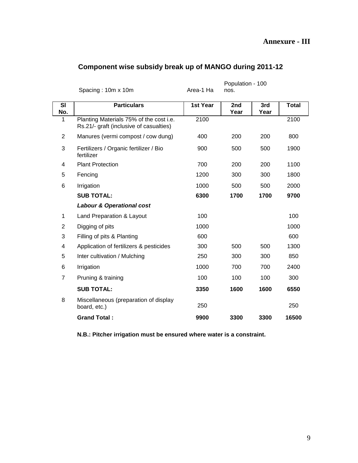## **Annexure - III**

|                  |                                                                                    |           | Population - 100 |             |              |
|------------------|------------------------------------------------------------------------------------|-----------|------------------|-------------|--------------|
|                  | Spacing: 10m x 10m                                                                 | Area-1 Ha | nos.             |             |              |
| <b>SI</b><br>No. | <b>Particulars</b>                                                                 | 1st Year  | 2nd<br>Year      | 3rd<br>Year | <b>Total</b> |
| 1                | Planting Materials 75% of the cost i.e.<br>Rs.21/- graft (inclusive of casualties) | 2100      |                  |             | 2100         |
| $\overline{2}$   | Manures (vermi compost / cow dung)                                                 | 400       | 200              | 200         | 800          |
| 3                | Fertilizers / Organic fertilizer / Bio<br>fertilizer                               | 900       | 500              | 500         | 1900         |
| 4                | <b>Plant Protection</b>                                                            | 700       | 200              | 200         | 1100         |
| 5                | Fencing                                                                            | 1200      | 300              | 300         | 1800         |
| 6                | Irrigation                                                                         | 1000      | 500              | 500         | 2000         |
|                  | <b>SUB TOTAL:</b>                                                                  | 6300      | 1700             | 1700        | 9700         |
|                  | <b>Labour &amp; Operational cost</b>                                               |           |                  |             |              |
| 1                | Land Preparation & Layout                                                          | 100       |                  |             | 100          |
| $\overline{2}$   | Digging of pits                                                                    | 1000      |                  |             | 1000         |
| 3                | Filling of pits & Planting                                                         | 600       |                  |             | 600          |
| 4                | Application of fertilizers & pesticides                                            | 300       | 500              | 500         | 1300         |
| 5                | Inter cultivation / Mulching                                                       | 250       | 300              | 300         | 850          |
| 6                | Irrigation                                                                         | 1000      | 700              | 700         | 2400         |
| $\overline{7}$   | Pruning & training                                                                 | 100       | 100              | 100         | 300          |
|                  | <b>SUB TOTAL:</b>                                                                  | 3350      | 1600             | 1600        | 6550         |
| 8                | Miscellaneous (preparation of display<br>board, etc.)                              | 250       |                  |             | 250          |
|                  | <b>Grand Total:</b>                                                                | 9900      | 3300             | 3300        | 16500        |

## **Component wise subsidy break up of MANGO during 2011-12**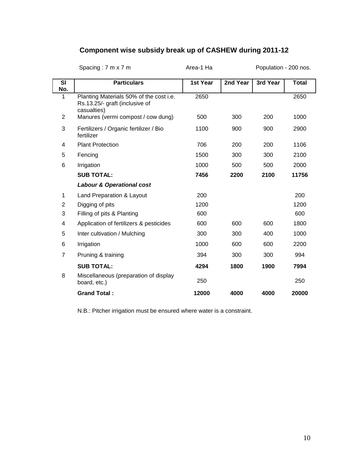# **Component wise subsidy break up of CASHEW during 2011-12**

|                | Spacing: 7 m x 7 m                                                                       | Area-1 Ha |          | Population - 200 nos. |              |
|----------------|------------------------------------------------------------------------------------------|-----------|----------|-----------------------|--------------|
| SI<br>No.      | <b>Particulars</b>                                                                       | 1st Year  | 2nd Year | 3rd Year              | <b>Total</b> |
| 1              | Planting Materials 50% of the cost i.e.<br>Rs.13.25/- graft (inclusive of<br>casualties) | 2650      |          |                       | 2650         |
| $\overline{2}$ | Manures (vermi compost / cow dung)                                                       | 500       | 300      | 200                   | 1000         |
| 3              | Fertilizers / Organic fertilizer / Bio<br>fertilizer                                     | 1100      | 900      | 900                   | 2900         |
| 4              | <b>Plant Protection</b>                                                                  | 706       | 200      | 200                   | 1106         |
| 5              | Fencing                                                                                  | 1500      | 300      | 300                   | 2100         |
| 6              | Irrigation                                                                               | 1000      | 500      | 500                   | 2000         |
|                | <b>SUB TOTAL:</b>                                                                        | 7456      | 2200     | 2100                  | 11756        |
|                | <b>Labour &amp; Operational cost</b>                                                     |           |          |                       |              |
| 1              | Land Preparation & Layout                                                                | 200       |          |                       | 200          |
| $\overline{2}$ | Digging of pits                                                                          | 1200      |          |                       | 1200         |
| 3              | Filling of pits & Planting                                                               | 600       |          |                       | 600          |
| 4              | Application of fertilizers & pesticides                                                  | 600       | 600      | 600                   | 1800         |
| 5              | Inter cultivation / Mulching                                                             | 300       | 300      | 400                   | 1000         |
| 6              | Irrigation                                                                               | 1000      | 600      | 600                   | 2200         |
| $\overline{7}$ | Pruning & training                                                                       | 394       | 300      | 300                   | 994          |
|                | <b>SUB TOTAL:</b>                                                                        | 4294      | 1800     | 1900                  | 7994         |
| 8              | Miscellaneous (preparation of display<br>board, etc.)                                    | 250       |          |                       | 250          |
|                | <b>Grand Total:</b>                                                                      | 12000     | 4000     | 4000                  | 20000        |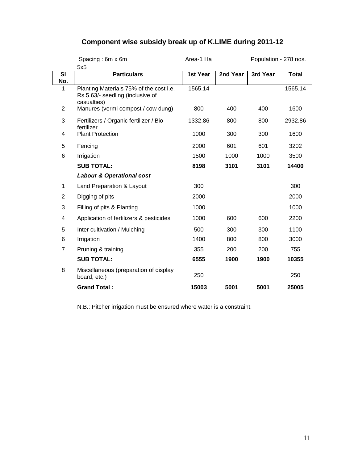# **Component wise subsidy break up of K.LIME during 2011-12**

|                | Spacing: 6m x 6m                                                                           | Area-1 Ha |          | Population - 278 nos. |              |
|----------------|--------------------------------------------------------------------------------------------|-----------|----------|-----------------------|--------------|
|                | 5x5                                                                                        |           |          |                       |              |
| SI             | <b>Particulars</b>                                                                         | 1st Year  | 2nd Year | 3rd Year              | <b>Total</b> |
| No.            |                                                                                            |           |          |                       |              |
| 1              | Planting Materials 75% of the cost i.e.<br>Rs.5.63/- seedling (inclusive of<br>casualties) | 1565.14   |          |                       | 1565.14      |
| $\overline{2}$ | Manures (vermi compost / cow dung)                                                         | 800       | 400      | 400                   | 1600         |
| 3              | Fertilizers / Organic fertilizer / Bio<br>fertilizer                                       | 1332.86   | 800      | 800                   | 2932.86      |
| 4              | <b>Plant Protection</b>                                                                    | 1000      | 300      | 300                   | 1600         |
| 5              | Fencing                                                                                    | 2000      | 601      | 601                   | 3202         |
| 6              | Irrigation                                                                                 | 1500      | 1000     | 1000                  | 3500         |
|                | <b>SUB TOTAL:</b>                                                                          | 8198      | 3101     | 3101                  | 14400        |
|                | <b>Labour &amp; Operational cost</b>                                                       |           |          |                       |              |
| 1              | Land Preparation & Layout                                                                  | 300       |          |                       | 300          |
| $\overline{2}$ | Digging of pits                                                                            | 2000      |          |                       | 2000         |
| 3              | Filling of pits & Planting                                                                 | 1000      |          |                       | 1000         |
| 4              | Application of fertilizers & pesticides                                                    | 1000      | 600      | 600                   | 2200         |
| 5              | Inter cultivation / Mulching                                                               | 500       | 300      | 300                   | 1100         |
| 6              | Irrigation                                                                                 | 1400      | 800      | 800                   | 3000         |
| $\overline{7}$ | Pruning & training                                                                         | 355       | 200      | 200                   | 755          |
|                | <b>SUB TOTAL:</b>                                                                          | 6555      | 1900     | 1900                  | 10355        |
| 8              | Miscellaneous (preparation of display<br>board, etc.)                                      | 250       |          |                       | 250          |
|                | <b>Grand Total:</b>                                                                        | 15003     | 5001     | 5001                  | 25005        |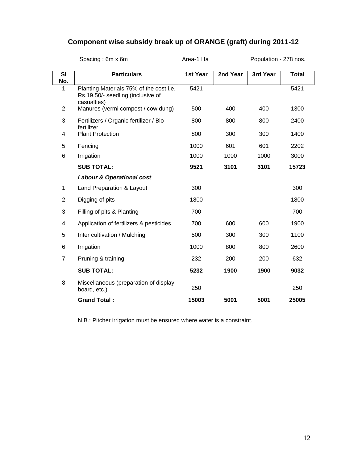# **Component wise subsidy break up of ORANGE (graft) during 2011-12**

|                | Area-1 Ha<br>Spacing: 6m x 6m                                                               |          |          | Population - 278 nos. |              |  |
|----------------|---------------------------------------------------------------------------------------------|----------|----------|-----------------------|--------------|--|
| SI<br>No.      | <b>Particulars</b>                                                                          | 1st Year | 2nd Year | 3rd Year              | <b>Total</b> |  |
| 1              | Planting Materials 75% of the cost i.e.<br>Rs.19.50/- seedling (inclusive of<br>casualties) | 5421     |          |                       | 5421         |  |
| 2              | Manures (vermi compost / cow dung)                                                          | 500      | 400      | 400                   | 1300         |  |
| 3              | Fertilizers / Organic fertilizer / Bio<br>fertilizer                                        | 800      | 800      | 800                   | 2400         |  |
| 4              | <b>Plant Protection</b>                                                                     | 800      | 300      | 300                   | 1400         |  |
| 5              | Fencing                                                                                     | 1000     | 601      | 601                   | 2202         |  |
| 6              | Irrigation                                                                                  | 1000     | 1000     | 1000                  | 3000         |  |
|                | <b>SUB TOTAL:</b>                                                                           | 9521     | 3101     | 3101                  | 15723        |  |
|                | <b>Labour &amp; Operational cost</b>                                                        |          |          |                       |              |  |
| 1              | Land Preparation & Layout                                                                   | 300      |          |                       | 300          |  |
| $\overline{2}$ | Digging of pits                                                                             | 1800     |          |                       | 1800         |  |
| 3              | Filling of pits & Planting                                                                  | 700      |          |                       | 700          |  |
| 4              | Application of fertilizers & pesticides                                                     | 700      | 600      | 600                   | 1900         |  |
| 5              | Inter cultivation / Mulching                                                                | 500      | 300      | 300                   | 1100         |  |
| 6              | Irrigation                                                                                  | 1000     | 800      | 800                   | 2600         |  |
| $\overline{7}$ | Pruning & training                                                                          | 232      | 200      | 200                   | 632          |  |
|                | <b>SUB TOTAL:</b>                                                                           | 5232     | 1900     | 1900                  | 9032         |  |
| 8              | Miscellaneous (preparation of display<br>board, etc.)                                       | 250      |          |                       | 250          |  |
|                | <b>Grand Total:</b>                                                                         | 15003    | 5001     | 5001                  | 25005        |  |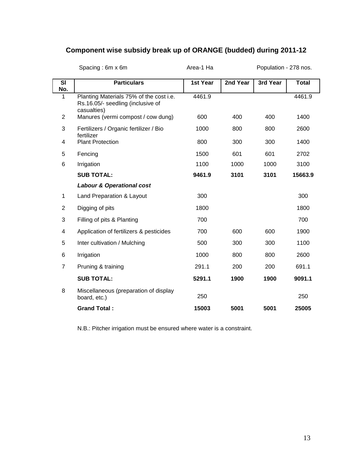# **Component wise subsidy break up of ORANGE (budded) during 2011-12**

|                  | Spacing: 6m x 6m                                                                            | Area-1 Ha |          | Population - 278 nos. |              |
|------------------|---------------------------------------------------------------------------------------------|-----------|----------|-----------------------|--------------|
| <b>SI</b><br>No. | <b>Particulars</b>                                                                          | 1st Year  | 2nd Year | 3rd Year              | <b>Total</b> |
| 1                | Planting Materials 75% of the cost i.e.<br>Rs.16.05/- seedling (inclusive of<br>casualties) | 4461.9    |          |                       | 4461.9       |
| 2                | Manures (vermi compost / cow dung)                                                          | 600       | 400      | 400                   | 1400         |
| 3                | Fertilizers / Organic fertilizer / Bio<br>fertilizer                                        | 1000      | 800      | 800                   | 2600         |
| 4                | <b>Plant Protection</b>                                                                     | 800       | 300      | 300                   | 1400         |
| 5                | Fencing                                                                                     | 1500      | 601      | 601                   | 2702         |
| 6                | Irrigation                                                                                  | 1100      | 1000     | 1000                  | 3100         |
|                  | <b>SUB TOTAL:</b>                                                                           | 9461.9    | 3101     | 3101                  | 15663.9      |
|                  | <b>Labour &amp; Operational cost</b>                                                        |           |          |                       |              |
| 1                | Land Preparation & Layout                                                                   | 300       |          |                       | 300          |
| $\overline{2}$   | Digging of pits                                                                             | 1800      |          |                       | 1800         |
| 3                | Filling of pits & Planting                                                                  | 700       |          |                       | 700          |
| 4                | Application of fertilizers & pesticides                                                     | 700       | 600      | 600                   | 1900         |
| 5                | Inter cultivation / Mulching                                                                | 500       | 300      | 300                   | 1100         |
| 6                | Irrigation                                                                                  | 1000      | 800      | 800                   | 2600         |
| $\overline{7}$   | Pruning & training                                                                          | 291.1     | 200      | 200                   | 691.1        |
|                  | <b>SUB TOTAL:</b>                                                                           | 5291.1    | 1900     | 1900                  | 9091.1       |
| 8                | Miscellaneous (preparation of display<br>board, etc.)                                       | 250       |          |                       | 250          |
|                  | <b>Grand Total:</b>                                                                         | 15003     | 5001     | 5001                  | 25005        |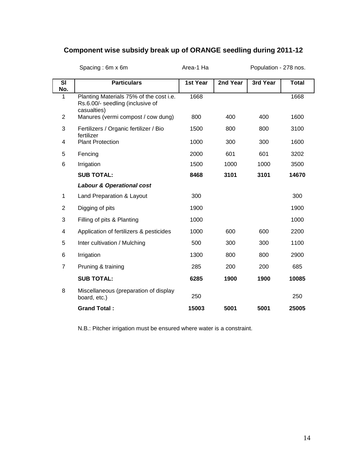# **Component wise subsidy break up of ORANGE seedling during 2011-12**

|                  | Spacing: 6m x 6m                                                                           | Area-1 Ha |          | Population - 278 nos. |              |
|------------------|--------------------------------------------------------------------------------------------|-----------|----------|-----------------------|--------------|
| <b>SI</b><br>No. | <b>Particulars</b>                                                                         | 1st Year  | 2nd Year | 3rd Year              | <b>Total</b> |
| 1                | Planting Materials 75% of the cost i.e.<br>Rs.6.00/- seedling (inclusive of<br>casualties) | 1668      |          |                       | 1668         |
| $\overline{2}$   | Manures (vermi compost / cow dung)                                                         | 800       | 400      | 400                   | 1600         |
| 3                | Fertilizers / Organic fertilizer / Bio<br>fertilizer                                       | 1500      | 800      | 800                   | 3100         |
| 4                | <b>Plant Protection</b>                                                                    | 1000      | 300      | 300                   | 1600         |
| 5                | Fencing                                                                                    | 2000      | 601      | 601                   | 3202         |
| 6                | Irrigation                                                                                 | 1500      | 1000     | 1000                  | 3500         |
|                  | <b>SUB TOTAL:</b>                                                                          | 8468      | 3101     | 3101                  | 14670        |
|                  | <b>Labour &amp; Operational cost</b>                                                       |           |          |                       |              |
| 1                | Land Preparation & Layout                                                                  | 300       |          |                       | 300          |
| $\overline{2}$   | Digging of pits                                                                            | 1900      |          |                       | 1900         |
| 3                | Filling of pits & Planting                                                                 | 1000      |          |                       | 1000         |
| 4                | Application of fertilizers & pesticides                                                    | 1000      | 600      | 600                   | 2200         |
| 5                | Inter cultivation / Mulching                                                               | 500       | 300      | 300                   | 1100         |
| 6                | Irrigation                                                                                 | 1300      | 800      | 800                   | 2900         |
| $\overline{7}$   | Pruning & training                                                                         | 285       | 200      | 200                   | 685          |
|                  | <b>SUB TOTAL:</b>                                                                          | 6285      | 1900     | 1900                  | 10085        |
| 8                | Miscellaneous (preparation of display<br>board, etc.)                                      | 250       |          |                       | 250          |
|                  | <b>Grand Total:</b>                                                                        | 15003     | 5001     | 5001                  | 25005        |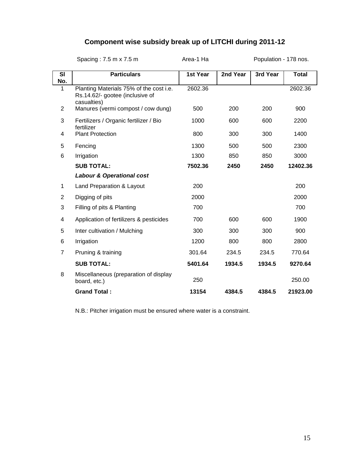# **Component wise subsidy break up of LITCHI during 2011-12**

|                | Spacing: 7.5 m x 7.5 m                                                                    | Area-1 Ha |          | Population - 178 nos. |              |
|----------------|-------------------------------------------------------------------------------------------|-----------|----------|-----------------------|--------------|
| SI<br>No.      | <b>Particulars</b>                                                                        | 1st Year  | 2nd Year | 3rd Year              | <b>Total</b> |
| 1              | Planting Materials 75% of the cost i.e.<br>Rs.14.62/- gootee (inclusive of<br>casualties) | 2602.36   |          |                       | 2602.36      |
| $\overline{2}$ | Manures (vermi compost / cow dung)                                                        | 500       | 200      | 200                   | 900          |
| 3              | Fertilizers / Organic fertilizer / Bio<br>fertilizer                                      | 1000      | 600      | 600                   | 2200         |
| 4              | <b>Plant Protection</b>                                                                   | 800       | 300      | 300                   | 1400         |
| 5              | Fencing                                                                                   | 1300      | 500      | 500                   | 2300         |
| 6              | Irrigation                                                                                | 1300      | 850      | 850                   | 3000         |
|                | <b>SUB TOTAL:</b>                                                                         | 7502.36   | 2450     | 2450                  | 12402.36     |
|                | <b>Labour &amp; Operational cost</b>                                                      |           |          |                       |              |
| 1              | Land Preparation & Layout                                                                 | 200       |          |                       | 200          |
| 2              | Digging of pits                                                                           | 2000      |          |                       | 2000         |
| 3              | Filling of pits & Planting                                                                | 700       |          |                       | 700          |
| 4              | Application of fertilizers & pesticides                                                   | 700       | 600      | 600                   | 1900         |
| 5              | Inter cultivation / Mulching                                                              | 300       | 300      | 300                   | 900          |
| 6              | Irrigation                                                                                | 1200      | 800      | 800                   | 2800         |
| 7              | Pruning & training                                                                        | 301.64    | 234.5    | 234.5                 | 770.64       |
|                | <b>SUB TOTAL:</b>                                                                         | 5401.64   | 1934.5   | 1934.5                | 9270.64      |
| 8              | Miscellaneous (preparation of display<br>board, etc.)                                     | 250       |          |                       | 250.00       |
|                | <b>Grand Total:</b>                                                                       | 13154     | 4384.5   | 4384.5                | 21923.00     |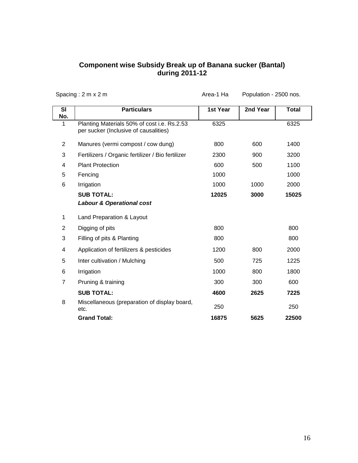#### **Component wise Subsidy Break up of Banana sucker (Bantal) during 2011-12**

|                                 | Spacing: $2 m \times 2 m$                                                            | Area-1 Ha | Population - 2500 nos. |              |
|---------------------------------|--------------------------------------------------------------------------------------|-----------|------------------------|--------------|
| $\overline{\mathsf{SI}}$<br>No. | <b>Particulars</b>                                                                   | 1st Year  | 2nd Year               | <b>Total</b> |
| 1                               | Planting Materials 50% of cost i.e. Rs.2.53<br>per sucker (Inclusive of causalities) | 6325      |                        | 6325         |
| 2                               | Manures (vermi compost / cow dung)                                                   | 800       | 600                    | 1400         |
| 3                               | Fertilizers / Organic fertilizer / Bio fertilizer                                    | 2300      | 900                    | 3200         |
| 4                               | <b>Plant Protection</b>                                                              | 600       | 500                    | 1100         |
| 5                               | Fencing                                                                              | 1000      |                        | 1000         |
| 6                               | Irrigation                                                                           | 1000      | 1000                   | 2000         |
|                                 | <b>SUB TOTAL:</b>                                                                    | 12025     | 3000                   | 15025        |
|                                 | <b>Labour &amp; Operational cost</b>                                                 |           |                        |              |
| 1                               | Land Preparation & Layout                                                            |           |                        |              |
| 2                               | Digging of pits                                                                      | 800       |                        | 800          |
| 3                               | Filling of pits & Planting                                                           | 800       |                        | 800          |
| 4                               | Application of fertilizers & pesticides                                              | 1200      | 800                    | 2000         |
| 5                               | Inter cultivation / Mulching                                                         | 500       | 725                    | 1225         |
| 6                               | Irrigation                                                                           | 1000      | 800                    | 1800         |
| $\overline{7}$                  | Pruning & training                                                                   | 300       | 300                    | 600          |
|                                 | <b>SUB TOTAL:</b>                                                                    | 4600      | 2625                   | 7225         |
| 8                               | Miscellaneous (preparation of display board,<br>etc.                                 | 250       |                        | 250          |
|                                 | <b>Grand Total:</b>                                                                  | 16875     | 5625                   | 22500        |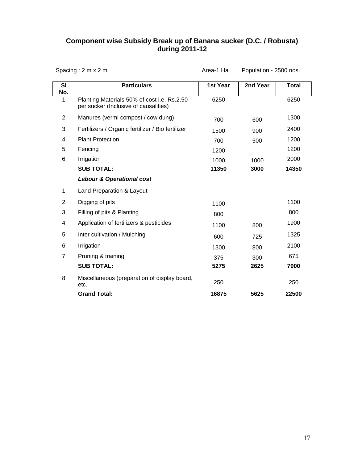#### **Component wise Subsidy Break up of Banana sucker (D.C. / Robusta) during 2011-12**

|                  | Spacing: $2 m \times 2 m$                                                            |          | Population - 2500 nos. |              |
|------------------|--------------------------------------------------------------------------------------|----------|------------------------|--------------|
| <b>SI</b><br>No. | <b>Particulars</b>                                                                   | 1st Year | 2nd Year               | <b>Total</b> |
| 1                | Planting Materials 50% of cost i.e. Rs.2.50<br>per sucker (Inclusive of causalities) | 6250     |                        | 6250         |
| $\overline{2}$   | Manures (vermi compost / cow dung)                                                   | 700      | 600                    | 1300         |
| 3                | Fertilizers / Organic fertilizer / Bio fertilizer                                    | 1500     | 900                    | 2400         |
| 4                | <b>Plant Protection</b>                                                              | 700      | 500                    | 1200         |
| 5                | Fencing                                                                              | 1200     |                        | 1200         |
| 6                | Irrigation                                                                           | 1000     | 1000                   | 2000         |
|                  | <b>SUB TOTAL:</b>                                                                    | 11350    | 3000                   | 14350        |
|                  | <b>Labour &amp; Operational cost</b>                                                 |          |                        |              |
| 1                | Land Preparation & Layout                                                            |          |                        |              |
| $\overline{2}$   | Digging of pits                                                                      | 1100     |                        | 1100         |
| 3                | Filling of pits & Planting                                                           | 800      |                        | 800          |
| 4                | Application of fertilizers & pesticides                                              | 1100     | 800                    | 1900         |
| 5                | Inter cultivation / Mulching                                                         | 600      | 725                    | 1325         |
| 6                | Irrigation                                                                           | 1300     | 800                    | 2100         |
| $\overline{7}$   | Pruning & training                                                                   | 375      | 300                    | 675          |
|                  | <b>SUB TOTAL:</b>                                                                    | 5275     | 2625                   | 7900         |
| 8                | Miscellaneous (preparation of display board,<br>etc.                                 | 250      |                        | 250          |
|                  | <b>Grand Total:</b>                                                                  | 16875    | 5625                   | 22500        |